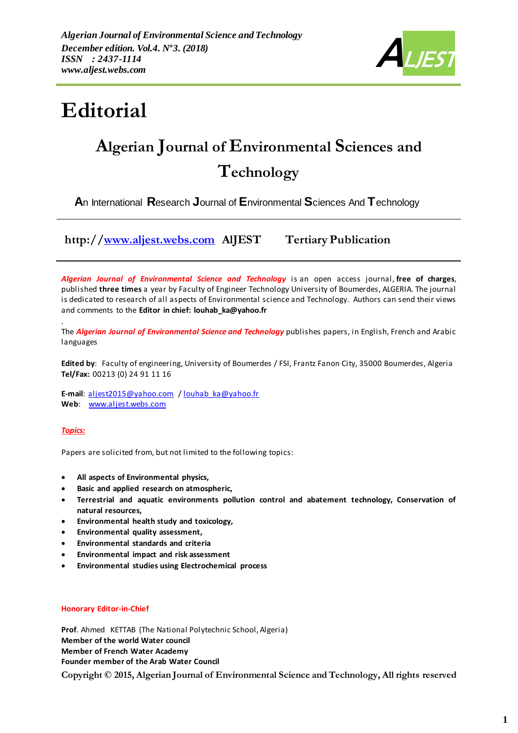

# **Editorial**

## **Algerian Journal of Environmental Sciences and Technology**

**A**n International **R**esearch **J**ournal of **E**nvironmental **S**ciences And **T**echnology

**http:/[/www.aljest.webs.com](http://www.aljest.webs.com/) AlJEST Tertiary Publication** 

*Algerian Journal of Environmental Science and Technology* is an open access journal, **free of charges**, published **three times** a year by Faculty of Engineer Technology University of Boumerdes, ALGERIA. The journal is dedicated to research of all aspects of Environmental science and Technology. Authors can send their views and comments to the **Editor in chief: louhab\_ka@yahoo.fr**

. The *Algerian Journal of Environmental Science and Technology* publishes papers, in English, French and Arabic languages

**Edited by**: Faculty of engineering, University of Boumerdes / FSI, Frantz Fanon City, 35000 Boumerdes, Algeria **Tel/Fax:** 00213 (0) 24 91 11 16

**E-mail**: [aljest2015@yahoo.com](mailto:aljest2015@yahoo.com) [/ louhab\\_ka@yahoo.fr](mailto:louhab_ka@yahoo.fr) Web: [www.aljest.webs.com](http://www.aljest.webs.com/)

*Topics:*

Papers are solicited from, but not limited to the following topics:

- **All aspects of Environmental physics,**
- **Basic and applied research on atmospheric,**
- **Terrestrial and aquatic environments pollution control and abatement technology, Conservation of natural resources,**
- **Environmental health study and toxicology,**
- **Environmental quality assessment,**
- **Environmental standards and criteria**
- **Environmental impact and risk assessment**
- **Environmental studies using Electrochemical process**

#### **Honorary Editor-in-Chief**

**Prof.** Ahmed KETTAB (The National Polytechnic School, Algeria) **Member of the world Water council Member of French Water Academy Founder member of the Arab Water Council**

**Copyright © 2015, Algerian Journal of Environmental Science and Technology, All rights reserved**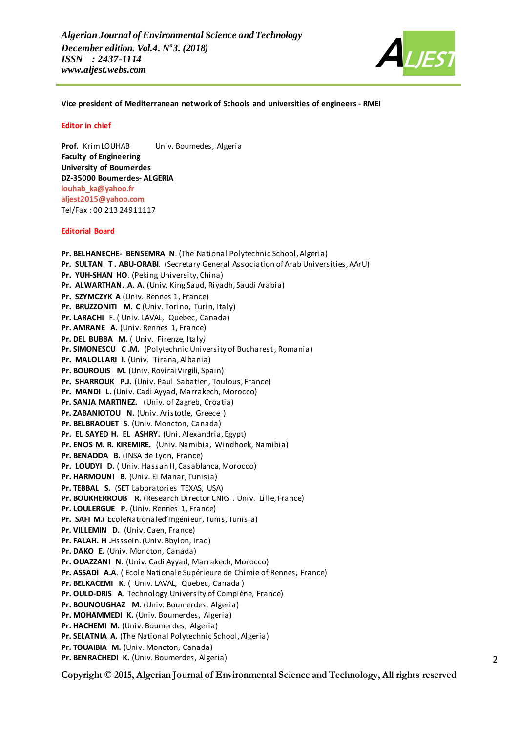

**Vice president of Mediterranean network of Schools and universities of engineers - RMEI**

#### **Editor in chief**

**Prof.** KrimLOUHAB Univ. Boumedes, Algeria **Faculty of Engineering University of Boumerdes DZ-35000 Boumerdes- ALGERIA [louhab\\_ka@yahoo.fr](mailto:Louhab_ka@yahoo.fr) [aljest2015@yahoo.com](mailto:aljest2015@yahoo.com)** Tel/Fax : 00 213 24911117

#### **Editorial Board**

**Pr. BELHANECHE- BENSEMRA N**. (The National Polytechnic School, Algeria) **Pr. SULTAN T . ABU-ORABI**. (Secretary General Association of Arab Universities,AArU) **Pr. YUH-SHAN HO**. (Peking University, China) **Pr. ALWARTHAN. A. A.** (Univ. King Saud, Riyadh, Saudi Arabia) **Pr. SZYMCZYK A** (Univ. Rennes 1, France) **Pr. BRUZZONITI M. C** (Univ. Torino, Turin, Italy) **Pr. LARACHI** F. ( Univ. LAVAL, Quebec, Canada) **Pr. AMRANE A.** (Univ. Rennes 1, France) **Pr. DEL BUBBA M.** ( Univ. Firenze*,* Italy*)* **Pr. SIMONESCU C .M.** (Polytechnic University of Bucharest, Romania) **Pr. MALOLLARI I.** (Univ. Tirana,Albania) **Pr. BOUROUIS M.** (Univ. RoviraiVirgili, Spain) **Pr. SHARROUK P.J.** (Univ. Paul Sabatier , Toulous, France) **Pr. MANDI L.** (Univ. Cadi Ayyad, Marrakech, Morocco) **Pr. SANJA MARTINEZ.** (Univ. of Zagreb, Croatia) **Pr. ZABANIOTOU N.** (Univ. Aristotle, Greece ) **Pr. BELBRAOUET S**. (Univ. Moncton, Canada) **Pr. EL SAYED H. EL ASHRY.** (Uni. Alexandria, Egypt) **Pr. ENOS M. R. KIREMIRE.** (Univ. Namibia, Windhoek, Namibia) **Pr. BENADDA B.** (INSA de Lyon, France) **Pr. LOUDYI D.** ( Univ. Hassan II, Casablanca, Morocco) **Pr. HARMOUNI B**. (Univ. El Manar, Tunisia) **Pr. TEBBAL S.** (SET Laboratories TEXAS, USA) **Pr. BOUKHERROUB R.** (Research Director CNRS . Univ. Lille, France) **Pr. LOULERGUE P.** (Univ. Rennes 1, France) **Pr. SAFI M.**( EcoleNationaled'Ingénieur, Tunis, Tunisia) **Pr. VILLEMIN D.** (Univ. Caen, France) **Pr. FALAH. H .**Hsssein.(Univ. Bbylon, Iraq) **Pr. DAKO E.** (Univ. Moncton, Canada) **Pr. OUAZZANI N**. (Univ. Cadi Ayyad, Marrakech, Morocco) **Pr. ASSADI A.A**. ( Ecole Nationale Supérieure de Chimie of Rennes, France) **Pr. BELKACEMI K**. ( Univ. LAVAL, Quebec, Canada ) **Pr. OULD-DRIS A.** Technology University of Compiène, France) **Pr. BOUNOUGHAZ M.** (Univ. Boumerdes, Algeria) **Pr. MOHAMMEDI K.** (Univ. Boumerdes, Algeria) **Pr. HACHEMI M.** (Univ. Boumerdes, Algeria) **Pr. SELATNIA A.** (The National Polytechnic School, Algeria) **Pr. TOUAIBIA M.** (Univ. Moncton, Canada) **Pr. BENRACHEDI K.** (Univ. Boumerdes, Algeria) **2**

**Copyright © 2015, Algerian Journal of Environmental Science and Technology, All rights reserved**